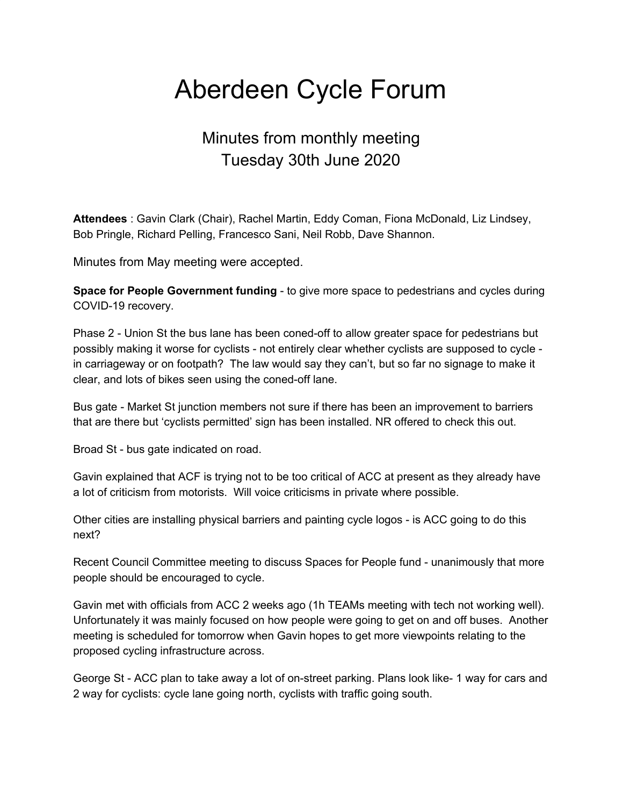# Aberdeen Cycle Forum

# Minutes from monthly meeting Tuesday 30th June 2020

**Attendees** : Gavin Clark (Chair), Rachel Martin, Eddy Coman, Fiona McDonald, Liz Lindsey, Bob Pringle, Richard Pelling, Francesco Sani, Neil Robb, Dave Shannon.

Minutes from May meeting were accepted.

**Space for People Government funding** - to give more space to pedestrians and cycles during COVID-19 recovery.

Phase 2 - Union St the bus lane has been coned-off to allow greater space for pedestrians but possibly making it worse for cyclists - not entirely clear whether cyclists are supposed to cycle in carriageway or on footpath? The law would say they can't, but so far no signage to make it clear, and lots of bikes seen using the coned-off lane.

Bus gate - Market St junction members not sure if there has been an improvement to barriers that are there but 'cyclists permitted' sign has been installed. NR offered to check this out.

Broad St - bus gate indicated on road.

Gavin explained that ACF is trying not to be too critical of ACC at present as they already have a lot of criticism from motorists. Will voice criticisms in private where possible.

Other cities are installing physical barriers and painting cycle logos - is ACC going to do this next?

Recent Council Committee meeting to discuss Spaces for People fund - unanimously that more people should be encouraged to cycle.

Gavin met with officials from ACC 2 weeks ago (1h TEAMs meeting with tech not working well). Unfortunately it was mainly focused on how people were going to get on and off buses. Another meeting is scheduled for tomorrow when Gavin hopes to get more viewpoints relating to the proposed cycling infrastructure across.

George St - ACC plan to take away a lot of on-street parking. Plans look like- 1 way for cars and 2 way for cyclists: cycle lane going north, cyclists with traffic going south.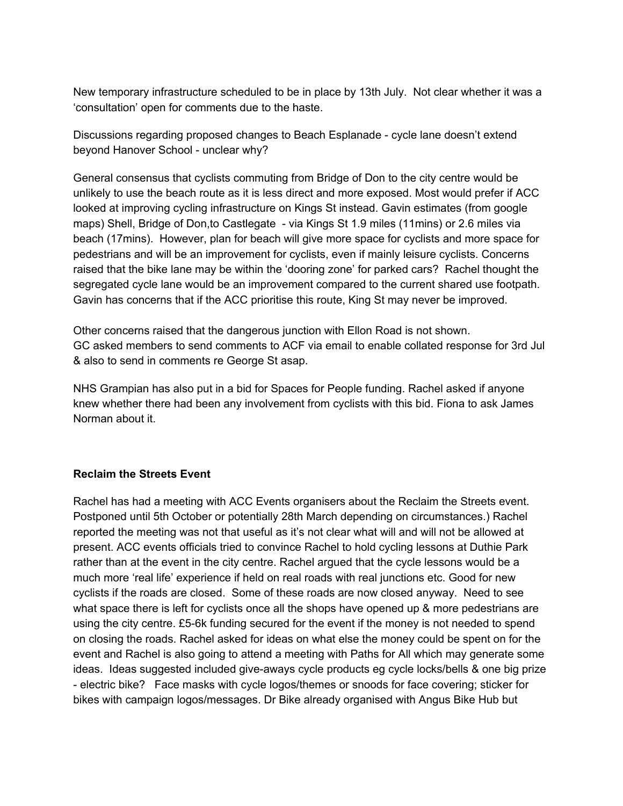New temporary infrastructure scheduled to be in place by 13th July. Not clear whether it was a 'consultation' open for comments due to the haste.

Discussions regarding proposed changes to Beach Esplanade - cycle lane doesn't extend beyond Hanover School - unclear why?

General consensus that cyclists commuting from Bridge of Don to the city centre would be unlikely to use the beach route as it is less direct and more exposed. Most would prefer if ACC looked at improving cycling infrastructure on Kings St instead. Gavin estimates (from google maps) Shell, Bridge of Don,to Castlegate - via Kings St 1.9 miles (11mins) or 2.6 miles via beach (17mins). However, plan for beach will give more space for cyclists and more space for pedestrians and will be an improvement for cyclists, even if mainly leisure cyclists. Concerns raised that the bike lane may be within the 'dooring zone' for parked cars? Rachel thought the segregated cycle lane would be an improvement compared to the current shared use footpath. Gavin has concerns that if the ACC prioritise this route, King St may never be improved.

Other concerns raised that the dangerous junction with Ellon Road is not shown. GC asked members to send comments to ACF via email to enable collated response for 3rd Jul & also to send in comments re George St asap.

NHS Grampian has also put in a bid for Spaces for People funding. Rachel asked if anyone knew whether there had been any involvement from cyclists with this bid. Fiona to ask James Norman about it.

#### **Reclaim the Streets Event**

Rachel has had a meeting with ACC Events organisers about the Reclaim the Streets event. Postponed until 5th October or potentially 28th March depending on circumstances.) Rachel reported the meeting was not that useful as it's not clear what will and will not be allowed at present. ACC events officials tried to convince Rachel to hold cycling lessons at Duthie Park rather than at the event in the city centre. Rachel argued that the cycle lessons would be a much more 'real life' experience if held on real roads with real junctions etc. Good for new cyclists if the roads are closed. Some of these roads are now closed anyway. Need to see what space there is left for cyclists once all the shops have opened up & more pedestrians are using the city centre. £5-6k funding secured for the event if the money is not needed to spend on closing the roads. Rachel asked for ideas on what else the money could be spent on for the event and Rachel is also going to attend a meeting with Paths for All which may generate some ideas. Ideas suggested included give-aways cycle products eg cycle locks/bells & one big prize - electric bike? Face masks with cycle logos/themes or snoods for face covering; sticker for bikes with campaign logos/messages. Dr Bike already organised with Angus Bike Hub but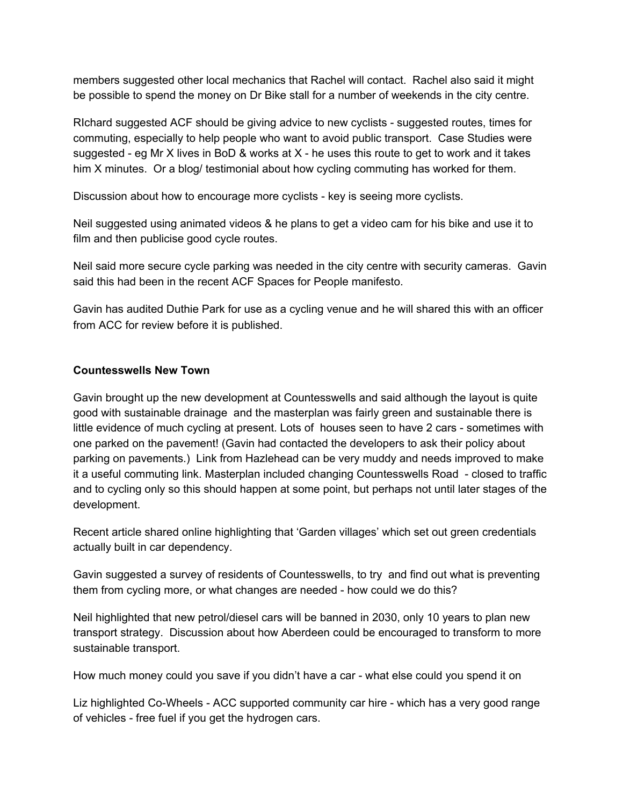members suggested other local mechanics that Rachel will contact. Rachel also said it might be possible to spend the money on Dr Bike stall for a number of weekends in the city centre.

RIchard suggested ACF should be giving advice to new cyclists - suggested routes, times for commuting, especially to help people who want to avoid public transport. Case Studies were suggested - eg Mr X lives in BoD & works at  $X$  - he uses this route to get to work and it takes him X minutes. Or a blog/ testimonial about how cycling commuting has worked for them.

Discussion about how to encourage more cyclists - key is seeing more cyclists.

Neil suggested using animated videos & he plans to get a video cam for his bike and use it to film and then publicise good cycle routes.

Neil said more secure cycle parking was needed in the city centre with security cameras. Gavin said this had been in the recent ACF Spaces for People manifesto.

Gavin has audited Duthie Park for use as a cycling venue and he will shared this with an officer from ACC for review before it is published.

## **Countesswells New Town**

Gavin brought up the new development at Countesswells and said although the layout is quite good with sustainable drainage and the masterplan was fairly green and sustainable there is little evidence of much cycling at present. Lots of houses seen to have 2 cars - sometimes with one parked on the pavement! (Gavin had contacted the developers to ask their policy about parking on pavements.) Link from Hazlehead can be very muddy and needs improved to make it a useful commuting link. Masterplan included changing Countesswells Road - closed to traffic and to cycling only so this should happen at some point, but perhaps not until later stages of the development.

Recent article shared online highlighting that 'Garden villages' which set out green credentials actually built in car dependency.

Gavin suggested a survey of residents of Countesswells, to try and find out what is preventing them from cycling more, or what changes are needed - how could we do this?

Neil highlighted that new petrol/diesel cars will be banned in 2030, only 10 years to plan new transport strategy. Discussion about how Aberdeen could be encouraged to transform to more sustainable transport.

How much money could you save if you didn't have a car - what else could you spend it on

Liz highlighted Co-Wheels - ACC supported community car hire - which has a very good range of vehicles - free fuel if you get the hydrogen cars.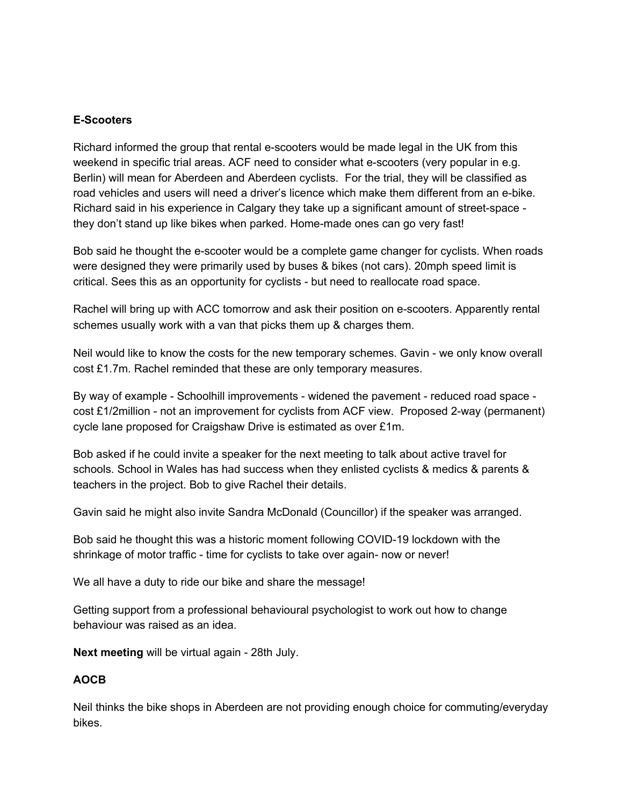### **E-Scooters**

Richard informed the group that rental e-scooters would be made legal in the UK from this weekend in specific trial areas. ACF need to consider what e-scooters (very popular in e.g. Berlin) will mean for Aberdeen and Aberdeen cyclists. For the trial, they will be classified as road vehicles and users will need a driver's licence which make them different from an e-bike. Richard said in his experience in Calgary they take up a significant amount of street-space they don't stand up like bikes when parked. Home-made ones can go very fast!

Bob said he thought the e-scooter would be a complete game changer for cyclists. When roads were designed they were primarily used by buses & bikes (not cars). 20mph speed limit is critical. Sees this as an opportunity for cyclists - but need to reallocate road space.

Rachel will bring up with ACC tomorrow and ask their position on e-scooters. Apparently rental schemes usually work with a van that picks them up & charges them.

Neil would like to know the costs for the new temporary schemes. Gavin - we only know overall cost £1.7m. Rachel reminded that these are only temporary measures.

By way of example - Schoolhill improvements - widened the pavement - reduced road space cost £1/2million - not an improvement for cyclists from ACF view. Proposed 2-way (permanent) cycle lane proposed for Craigshaw Drive is estimated as over £1m.

Bob asked if he could invite a speaker for the next meeting to talk about active travel for schools. School in Wales has had success when they enlisted cyclists & medics & parents & teachers in the project. Bob to give Rachel their details.

Gavin said he might also invite Sandra McDonald (Councillor) if the speaker was arranged.

Bob said he thought this was a historic moment following COVID-19 lockdown with the shrinkage of motor traffic - time for cyclists to take over again- now or never!

We all have a duty to ride our bike and share the message!

Getting support from a professional behavioural psychologist to work out how to change behaviour was raised as an idea.

**Next meeting** will be virtual again - 28th July.

#### **AOCB**

Neil thinks the bike shops in Aberdeen are not providing enough choice for commuting/everyday bikes.